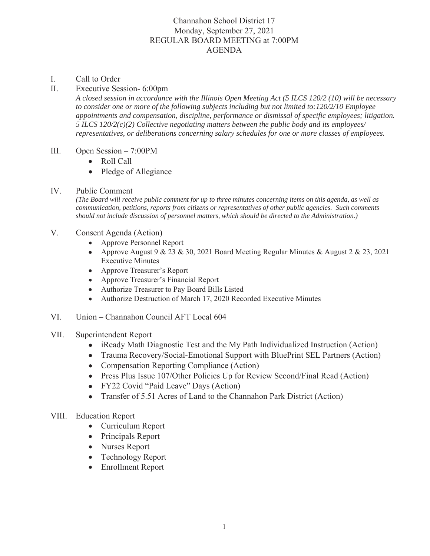## Channahon School District 17 Monday, September 27, 2021 REGULAR BOARD MEETING at 7:00PM AGENDA

## I. Call to Order

## II. Executive Session- 6:00pm

*A closed session in accordance with the Illinois Open Meeting Act (5 ILCS 120/2 (10) will be necessary to consider one or more of the following subjects including but not limited to:120/2/10 Employee appointments and compensation, discipline, performance or dismissal of specific employees; litigation. 5 ILCS 120/2(c)(2) Collective negotiating matters between the public body and its employees/ representatives, or deliberations concerning salary schedules for one or more classes of employees.*

## III. Open Session  $-7:00$ PM

- $\bullet$  Roll Call
- Pledge of Allegiance
- IV. Public Comment

*(The Board will receive public comment for up to three minutes concerning items on this agenda, as well as communication, petitions, reports from citizens or representatives of other public agencies. Such comments should not include discussion of personnel matters, which should be directed to the Administration.)*

- V. Consent Agenda (Action)
	- Approve Personnel Report
	- Approve August  $9 \& 23 \& 30$ , 2021 Board Meeting Regular Minutes & August 2 & 23, 2021 Executive Minutes
	- Approve Treasurer's Report
	- Approve Treasurer's Financial Report
	- Authorize Treasurer to Pay Board Bills Listed
	- Authorize Destruction of March 17, 2020 Recorded Executive Minutes
- VI. Union Channahon Council AFT Local 604
- VII. Superintendent Report
	- iReady Math Diagnostic Test and the My Path Individualized Instruction (Action)
	- Trauma Recovery/Social-Emotional Support with BluePrint SEL Partners (Action)
	- Compensation Reporting Compliance (Action)
	- Press Plus Issue 107/Other Policies Up for Review Second/Final Read (Action)
	- FY22 Covid "Paid Leave" Days (Action)
	- Transfer of 5.51 Acres of Land to the Channahon Park District (Action)
- VIII. Education Report
	- Curriculum Report
	- Principals Report
	- Nurses Report
	- Technology Report
	- Enrollment Report